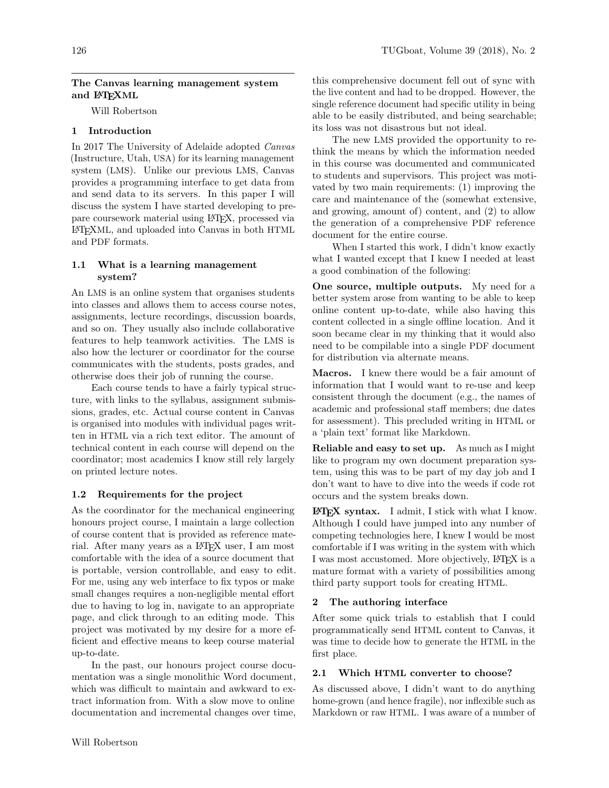## The Canvas learning management system and L<sup>AT</sup>FXML

Will Robertson

# 1 Introduction

In 2017 The University of Adelaide adopted Canvas (Instructure, Utah, USA) for its learning management system (LMS). Unlike our previous LMS, Canvas provides a programming interface to get data from and send data to its servers. In this paper I will discuss the system I have started developing to prepare coursework material using LATEX, processed via LATEXML, and uploaded into Canvas in both HTML and PDF formats.

## 1.1 What is a learning management system?

An LMS is an online system that organises students into classes and allows them to access course notes, assignments, lecture recordings, discussion boards, and so on. They usually also include collaborative features to help teamwork activities. The LMS is also how the lecturer or coordinator for the course communicates with the students, posts grades, and otherwise does their job of running the course.

Each course tends to have a fairly typical structure, with links to the syllabus, assignment submissions, grades, etc. Actual course content in Canvas is organised into modules with individual pages written in HTML via a rich text editor. The amount of technical content in each course will depend on the coordinator; most academics I know still rely largely on printed lecture notes.

# 1.2 Requirements for the project

As the coordinator for the mechanical engineering honours project course, I maintain a large collection of course content that is provided as reference material. After many years as a LATEX user, I am most comfortable with the idea of a source document that is portable, version controllable, and easy to edit. For me, using any web interface to fix typos or make small changes requires a non-negligible mental effort due to having to log in, navigate to an appropriate page, and click through to an editing mode. This project was motivated by my desire for a more efficient and effective means to keep course material up-to-date.

In the past, our honours project course documentation was a single monolithic Word document, which was difficult to maintain and awkward to extract information from. With a slow move to online documentation and incremental changes over time, this comprehensive document fell out of sync with the live content and had to be dropped. However, the single reference document had specific utility in being able to be easily distributed, and being searchable; its loss was not disastrous but not ideal.

The new LMS provided the opportunity to rethink the means by which the information needed in this course was documented and communicated to students and supervisors. This project was motivated by two main requirements: (1) improving the care and maintenance of the (somewhat extensive, and growing, amount of) content, and (2) to allow the generation of a comprehensive PDF reference document for the entire course.

When I started this work, I didn't know exactly what I wanted except that I knew I needed at least a good combination of the following:

One source, multiple outputs. My need for a better system arose from wanting to be able to keep online content up-to-date, while also having this content collected in a single offline location. And it soon became clear in my thinking that it would also need to be compilable into a single PDF document for distribution via alternate means.

Macros. I knew there would be a fair amount of information that I would want to re-use and keep consistent through the document (e.g., the names of academic and professional staff members; due dates for assessment). This precluded writing in HTML or a 'plain text' format like Markdown.

Reliable and easy to set up. As much as I might like to program my own document preparation system, using this was to be part of my day job and I don't want to have to dive into the weeds if code rot occurs and the system breaks down.

**LATEX** syntax. I admit, I stick with what I know. Although I could have jumped into any number of competing technologies here, I knew I would be most comfortable if I was writing in the system with which I was most accustomed. More objectively, LAT<sub>EX</sub> is a mature format with a variety of possibilities among third party support tools for creating HTML.

# 2 The authoring interface

After some quick trials to establish that I could programmatically send HTML content to Canvas, it was time to decide how to generate the HTML in the first place.

# 2.1 Which HTML converter to choose?

As discussed above, I didn't want to do anything home-grown (and hence fragile), nor inflexible such as Markdown or raw HTML. I was aware of a number of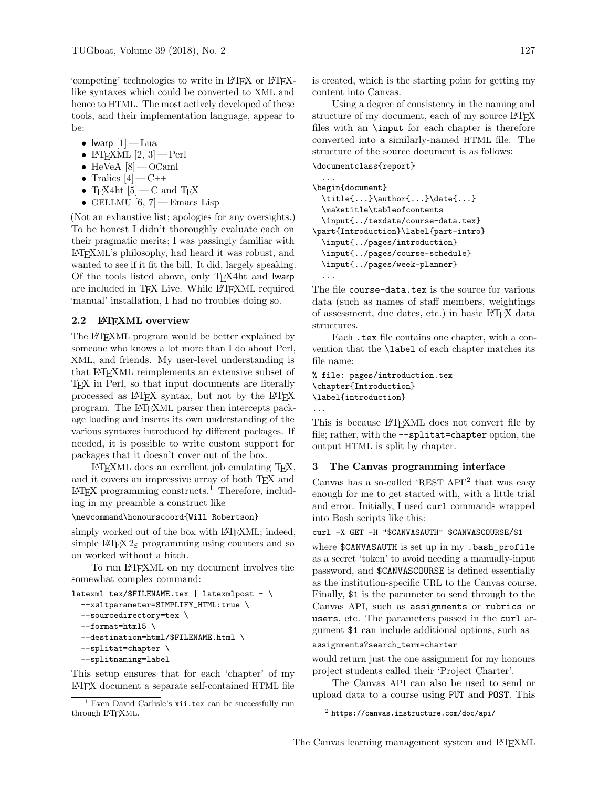'competing' technologies to write in LATEX or LATEXlike syntaxes which could be converted to XML and hence to HTML. The most actively developed of these tools, and their implementation language, appear to be:

- Iwarp  $|1|$  Lua
- LAT<sub>F</sub>XML  $[2, 3]$  Perl
- $\bullet\,$  HeVeA  $[8]$  OCaml
- Tralics  $[4] C$ ++
- TEX4ht  $[5]$  C and TEX
- GELLMU  $[6, 7]$  Emacs Lisp

(Not an exhaustive list; apologies for any oversights.) To be honest I didn't thoroughly evaluate each on their pragmatic merits; I was passingly familiar with LATEXML's philosophy, had heard it was robust, and wanted to see if it fit the bill. It did, largely speaking. Of the tools listed above, only TEX4ht and lwarp are included in TFX Live. While LATFXML required 'manual' installation, I had no troubles doing so.

### 2.2 LATEXML overview

The LATEXML program would be better explained by someone who knows a lot more than I do about Perl, XML, and friends. My user-level understanding is that LATEXML reimplements an extensive subset of TEX in Perl, so that input documents are literally processed as LATEX syntax, but not by the LATEX program. The LATEXML parser then intercepts package loading and inserts its own understanding of the various syntaxes introduced by different packages. If needed, it is possible to write custom support for packages that it doesn't cover out of the box.

LATEXML does an excellent job emulating TEX, and it covers an impressive array of both TEX and  $\text{LATEX programming constructs.}^1$  Therefore, including in my preamble a construct like

#### \newcommand\honourscoord{Will Robertson}

simply worked out of the box with LAT<sub>EXML</sub>; indeed, simple L<sup>AT</sup>EX 2<sub> $\varepsilon$ </sub> programming using counters and so on worked without a hitch.

To run LATEXML on my document involves the somewhat complex command:

```
latexml tex/$FILENAME.tex | latexmlpost - \setminus--xsltparameter=SIMPLIFY_HTML:true \
  --sourcedirectory=tex \
  --format=html5 \ \n\--destination=html/$FILENAME.html \
  --splitat=chapter \
  --splitnaming=label
```
This setup ensures that for each 'chapter' of my LATEX document a separate self-contained HTML file is created, which is the starting point for getting my content into Canvas.

Using a degree of consistency in the naming and structure of my document, each of my source LATEX files with an \input for each chapter is therefore converted into a similarly-named HTML file. The structure of the source document is as follows:

```
\documentclass{report}
```

```
...
\begin{document}
  \title{...}\author{...}\date{...}
  \maketitle\tableofcontents
  \input{../texdata/course-data.tex}
\part{Introduction}\label{part-intro}
  \input{../pages/introduction}
  \input{../pages/course-schedule}
 \input{../pages/week-planner}
  ...
```
The file course-data.tex is the source for various data (such as names of staff members, weightings of assessment, due dates, etc.) in basic LATEX data structures.

Each .tex file contains one chapter, with a convention that the \label of each chapter matches its file name:

```
% file: pages/introduction.tex
\chapter{Introduction}
\label{introduction}
...
```
This is because LAT<sub>E</sub>XML does not convert file by file; rather, with the --splitat=chapter option, the output HTML is split by chapter.

## 3 The Canvas programming interface

Canvas has a so-called 'REST API'<sup>2</sup> that was easy enough for me to get started with, with a little trial and error. Initially, I used curl commands wrapped into Bash scripts like this:

```
curl -X GET -H "$CANVASAUTH" $CANVASCOURSE/$1
```
where \$CANVASAUTH is set up in my .bash\_profile as a secret 'token' to avoid needing a manually-input password, and \$CANVASCOURSE is defined essentially as the institution-specific URL to the Canvas course. Finally, \$1 is the parameter to send through to the Canvas API, such as assignments or rubrics or users, etc. The parameters passed in the curl argument \$1 can include additional options, such as

assignments?search\_term=charter

would return just the one assignment for my honours project students called their 'Project Charter'.

The Canvas API can also be used to send or upload data to a course using PUT and POST. This

 $1$  Even David Carlisle's xii.tex can be successfully run through LATEXML.

 $^2$ https://canvas.instructure.com/doc/api/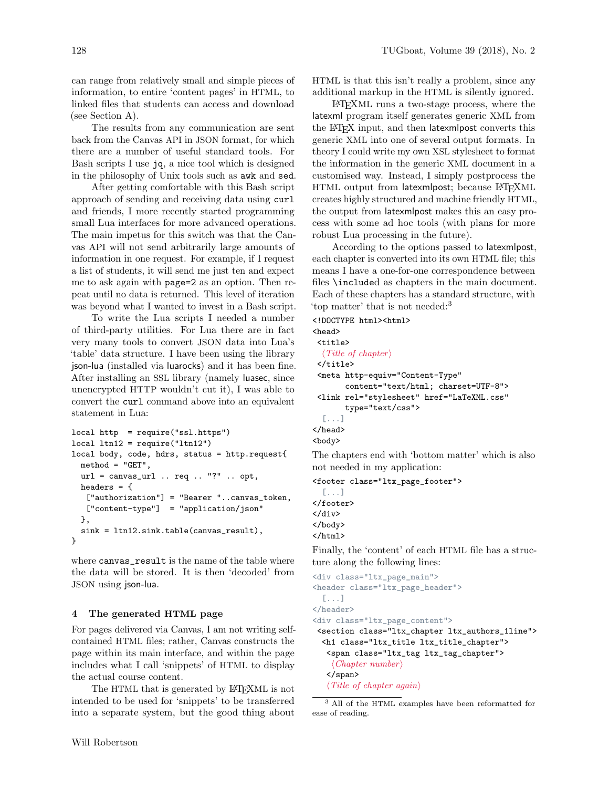can range from relatively small and simple pieces of information, to entire 'content pages' in HTML, to linked files that students can access and download (see Section A).

The results from any communication are sent back from the Canvas API in JSON format, for which there are a number of useful standard tools. For Bash scripts I use jq, a nice tool which is designed in the philosophy of Unix tools such as awk and sed.

After getting comfortable with this Bash script approach of sending and receiving data using curl and friends, I more recently started programming small Lua interfaces for more advanced operations. The main impetus for this switch was that the Canvas API will not send arbitrarily large amounts of information in one request. For example, if I request a list of students, it will send me just ten and expect me to ask again with page=2 as an option. Then repeat until no data is returned. This level of iteration was beyond what I wanted to invest in a Bash script.

To write the Lua scripts I needed a number of third-party utilities. For Lua there are in fact very many tools to convert JSON data into Lua's 'table' data structure. I have been using the library json-lua (installed via luarocks) and it has been fine. After installing an SSL library (namely luasec, since unencrypted HTTP wouldn't cut it), I was able to convert the curl command above into an equivalent statement in Lua:

```
local http = require("ssl.https")
local ltn12 = require("ltn12")
local body, code, hdrs, status = http.request{
 method = "GET",
 url = canvas_url .. req .. "?" .. opt,
 headers = {
   ["authorization"] = "Bearer "..canvas_token,
   ["content-type"] = "application/json"
 },
 sink = ltn12.sink.table(canvas_result),
}
```
where canvas\_result is the name of the table where the data will be stored. It is then 'decoded' from JSON using json-lua.

#### 4 The generated HTML page

For pages delivered via Canvas, I am not writing selfcontained HTML files; rather, Canvas constructs the page within its main interface, and within the page includes what I call 'snippets' of HTML to display the actual course content.

The HTML that is generated by LATEXML is not intended to be used for 'snippets' to be transferred into a separate system, but the good thing about

HTML is that this isn't really a problem, since any additional markup in the HTML is silently ignored.

LATEXML runs a two-stage process, where the latexml program itself generates generic XML from the LATEX input, and then latexmlpost converts this generic XML into one of several output formats. In theory I could write my own XSL stylesheet to format the information in the generic XML document in a customised way. Instead, I simply postprocess the HTML output from latexmlpost; because L<sup>AT</sup>FXML creates highly structured and machine friendly HTML, the output from latexmlpost makes this an easy process with some ad hoc tools (with plans for more robust Lua processing in the future).

According to the options passed to latexmlpost, each chapter is converted into its own HTML file; this means I have a one-for-one correspondence between files \included as chapters in the main document. Each of these chapters has a standard structure, with 'top matter' that is not needed:<sup>3</sup>

```
<!DOCTYPE html><html>
<head>
<title>
  \langle Title of chapter)
</title>
 <meta http-equiv="Content-Type"
       content="text/html; charset=UTF-8">
 <link rel="stylesheet" href="LaTeXML.css"
       type="text/css">
  [...]
</head>
<body>
```
The chapters end with 'bottom matter' which is also not needed in my application:

```
<footer class="ltx_page_footer">
  [...]
</footer>
</div>
</body>
</html>
```
Finally, the 'content' of each HTML file has a structure along the following lines:

```
<div class="ltx_page_main">
<header class="ltx_page_header">
  [...]
</header>
<div class="ltx_page_content">
<section class="ltx_chapter ltx_authors_1line">
  <h1 class="ltx_title ltx_title_chapter">
   <span class="ltx_tag ltx_tag_chapter">
    \langle Chapter \ number \rangle</span>
   \langle Title of chapter again\rangle
```
<sup>3</sup> All of the HTML examples have been reformatted for ease of reading.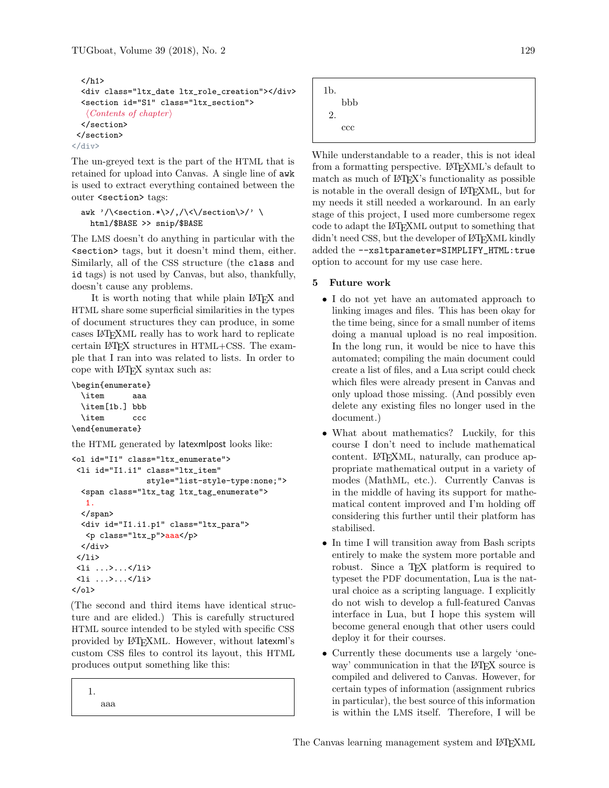```
\langleh1>
  <div class="ltx_date ltx_role_creation"></div>
  <section id="S1" class="ltx_section">
   \langle Contents\ of\ chapter \rangle</section>
</section>
</div>
```
The un-greyed text is the part of the HTML that is retained for upload into Canvas. A single line of awk is used to extract everything contained between the outer <section> tags:

```
awk '/\<section.*\>/,/\<\/section\>/' \
 html/$BASE >> snip/$BASE
```
The LMS doesn't do anything in particular with the <section> tags, but it doesn't mind them, either. Similarly, all of the CSS structure (the class and id tags) is not used by Canvas, but also, thankfully, doesn't cause any problems.

It is worth noting that while plain LATEX and HTML share some superficial similarities in the types of document structures they can produce, in some cases LATEXML really has to work hard to replicate certain LATEX structures in HTML+CSS. The example that I ran into was related to lists. In order to cope with LATEX syntax such as:

```
\begin{enumerate}
```

```
\item aaa
 \item[1b.] bbb
 \item ccc
\end{enumerate}
```
the HTML generated by latexmlpost looks like:

```
<ol id="I1" class="ltx_enumerate">
<li id="I1.i1" class="ltx_item"
                style="list-style-type:none;">
  <span class="ltx_tag ltx_tag_enumerate">
   1.
  </span>
  <div id="I1.i1.p1" class="ltx_para">
  <p class="ltx_p">aaa</p>
 </div>
 </li>
 <li ...>...</li>
<li ...>...</li>
\langle/ol>
```
(The second and third items have identical structure and are elided.) This is carefully structured HTML source intended to be styled with specific CSS provided by LATEXML. However, without latexml's custom CSS files to control its layout, this HTML produces output something like this:

1. aaa



While understandable to a reader, this is not ideal from a formatting perspective. LAT<sub>EXML</sub>'s default to match as much of LAT<sub>EX</sub>'s functionality as possible is notable in the overall design of LATEXML, but for my needs it still needed a workaround. In an early stage of this project, I used more cumbersome regex code to adapt the LATEXML output to something that didn't need CSS, but the developer of LATEXML kindly added the --xsltparameter=SIMPLIFY\_HTML:true option to account for my use case here.

## 5 Future work

- I do not yet have an automated approach to linking images and files. This has been okay for the time being, since for a small number of items doing a manual upload is no real imposition. In the long run, it would be nice to have this automated; compiling the main document could create a list of files, and a Lua script could check which files were already present in Canvas and only upload those missing. (And possibly even delete any existing files no longer used in the document.)
- What about mathematics? Luckily, for this course I don't need to include mathematical content. LATEXML, naturally, can produce appropriate mathematical output in a variety of modes (MathML, etc.). Currently Canvas is in the middle of having its support for mathematical content improved and I'm holding off considering this further until their platform has stabilised.
- In time I will transition away from Bash scripts entirely to make the system more portable and robust. Since a T<sub>F</sub>X platform is required to typeset the PDF documentation, Lua is the natural choice as a scripting language. I explicitly do not wish to develop a full-featured Canvas interface in Lua, but I hope this system will become general enough that other users could deploy it for their courses.
- Currently these documents use a largely 'oneway' communication in that the IATEX source is compiled and delivered to Canvas. However, for certain types of information (assignment rubrics in particular), the best source of this information is within the LMS itself. Therefore, I will be